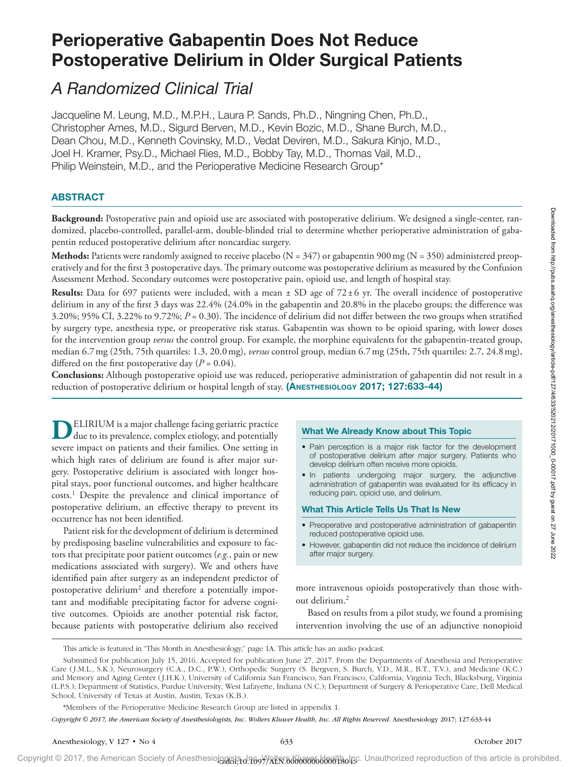# Perioperative Gabapentin Does Not Reduce Postoperative Delirium in Older Surgical Patients

# *A Randomized Clinical Trial*

Jacqueline M. Leung, M.D., M.P.H., Laura P. Sands, Ph.D., Ningning Chen, Ph.D., Christopher Ames, M.D., Sigurd Berven, M.D., Kevin Bozic, M.D., Shane Burch, M.D., Dean Chou, M.D., Kenneth Covinsky, M.D., Vedat Deviren, M.D., Sakura Kinjo, M.D., Joel H. Kramer, Psy.D., Michael Ries, M.D., Bobby Tay, M.D., Thomas Vail, M.D., Philip Weinstein, M.D., and the Perioperative Medicine Research Group\*

# ABSTRACT

**Background:** Postoperative pain and opioid use are associated with postoperative delirium. We designed a single-center, randomized, placebo-controlled, parallel-arm, double-blinded trial to determine whether perioperative administration of gabapentin reduced postoperative delirium after noncardiac surgery.

**Methods:** Patients were randomly assigned to receive placebo ( $N = 347$ ) or gabapentin 900 mg ( $N = 350$ ) administered preoperatively and for the first 3 postoperative days. The primary outcome was postoperative delirium as measured by the Confusion Assessment Method. Secondary outcomes were postoperative pain, opioid use, and length of hospital stay.

**Results:** Data for 697 patients were included, with a mean ± SD age of 72±6 yr. The overall incidence of postoperative delirium in any of the first 3 days was 22.4% (24.0% in the gabapentin and 20.8% in the placebo groups; the difference was 3.20%; 95% CI, 3.22% to 9.72%;  $P = 0.30$ ). The incidence of delirium did not differ between the two groups when stratified by surgery type, anesthesia type, or preoperative risk status. Gabapentin was shown to be opioid sparing, with lower doses for the intervention group *versus* the control group. For example, the morphine equivalents for the gabapentin-treated group, median 6.7mg (25th, 75th quartiles: 1.3, 20.0mg), *versus* control group, median 6.7mg (25th, 75th quartiles: 2.7, 24.8mg), differed on the first postoperative day  $(P = 0.04)$ .

**Conclusions:** Although postoperative opioid use was reduced, perioperative administration of gabapentin did not result in a reduction of postoperative delirium or hospital length of stay. (ANESTHESIOLOGY 2017; 127:633-44)

**D**ELIRIUM is a major challenge facing geriatric practice due to its prevalence, complex etiology, and potentially severe impact on patients and their families. One setting in which high rates of delirium are found is after major surgery. Postoperative delirium is associated with longer hospital stays, poor functional outcomes, and higher healthcare costs.1 Despite the prevalence and clinical importance of postoperative delirium, an effective therapy to prevent its occurrence has not been identified.

Patient risk for the development of delirium is determined by predisposing baseline vulnerabilities and exposure to factors that precipitate poor patient outcomes (*e.g.*, pain or new medications associated with surgery). We and others have identified pain after surgery as an independent predictor of postoperative delirium<sup>2</sup> and therefore a potentially important and modifiable precipitating factor for adverse cognitive outcomes. Opioids are another potential risk factor, because patients with postoperative delirium also received

## What We Already Know about This Topic

- Pain perception is a major risk factor for the development of postoperative delirium after major surgery. Patients who develop delirium often receive more opioids.
- In patients undergoing major surgery, the adjunctive administration of gabapentin was evaluated for its efficacy in reducing pain, opioid use, and delirium.

## What This Article Tells Us That Is New

- Preoperative and postoperative administration of gabapentin reduced postoperative opioid use.
- However, gabapentin did not reduce the incidence of delirium after major surgery.

more intravenous opioids postoperatively than those without delirium.2

Based on results from a pilot study, we found a promising intervention involving the use of an adjunctive nonopioid

*Copyright © 2017, the American Society of Anesthesiologists, Inc. Wolters Kluwer Health, Inc. All Rights Reserved.* Anesthesiology 2017; 127:633-44

This article is featured in "This Month in Anesthesiology," page 1A. This article has an audio podcast.

Submitted for publication July 15, 2016. Accepted for publication June 27, 2017. From the Departments of Anesthesia and Perioperative Care (J.M.L., S.K.), Neurosurgery (C.A., D.C., P.W.), Orthopedic Surgery (S. Bergven, S. Burch, V.D., M.R., B.T., T.V.), and Medicine (K.C.) and Memory and Aging Center (J.H.K.), University of California San Francisco, San Francisco, California; Virginia Tech, Blacksburg, Virginia (L.P.S.); Department of Statistics, Purdue University, West Lafayette, Indiana (N.C.); Department of Surgery & Perioperative Care, Dell Medical School, University of Texas at Austin, Austin, Texas (K.B.).

<sup>\*</sup>Members of the Perioperative Medicine Research Group are listed in appendix 1.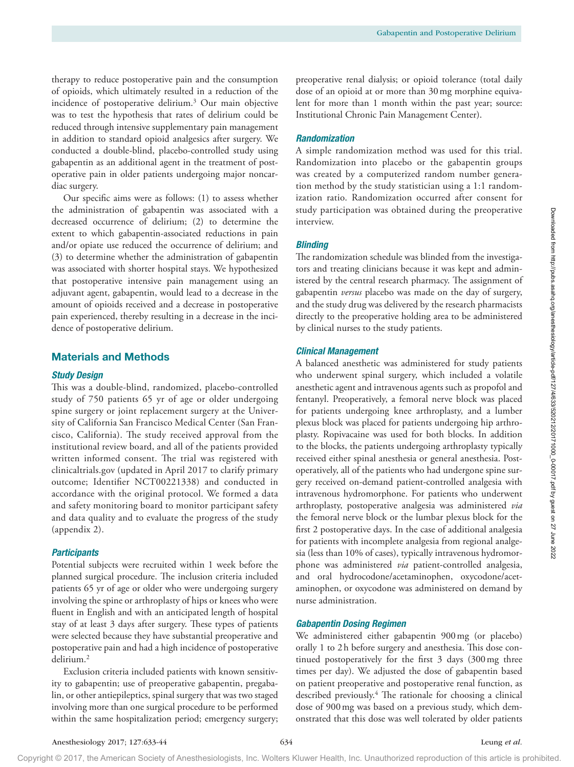therapy to reduce postoperative pain and the consumption of opioids, which ultimately resulted in a reduction of the incidence of postoperative delirium.3 Our main objective was to test the hypothesis that rates of delirium could be reduced through intensive supplementary pain management in addition to standard opioid analgesics after surgery. We conducted a double-blind, placebo-controlled study using gabapentin as an additional agent in the treatment of postoperative pain in older patients undergoing major noncardiac surgery.

Our specific aims were as follows: (1) to assess whether the administration of gabapentin was associated with a decreased occurrence of delirium; (2) to determine the extent to which gabapentin-associated reductions in pain and/or opiate use reduced the occurrence of delirium; and (3) to determine whether the administration of gabapentin was associated with shorter hospital stays. We hypothesized that postoperative intensive pain management using an adjuvant agent, gabapentin, would lead to a decrease in the amount of opioids received and a decrease in postoperative pain experienced, thereby resulting in a decrease in the incidence of postoperative delirium.

# Materials and Methods

#### *Study Design*

This was a double-blind, randomized, placebo-controlled study of 750 patients 65 yr of age or older undergoing spine surgery or joint replacement surgery at the University of California San Francisco Medical Center (San Francisco, California). The study received approval from the institutional review board, and all of the patients provided written informed consent. The trial was registered with clinicaltrials.gov (updated in April 2017 to clarify primary outcome; Identifier NCT00221338) and conducted in accordance with the original protocol. We formed a data and safety monitoring board to monitor participant safety and data quality and to evaluate the progress of the study (appendix 2).

#### *Participants*

Potential subjects were recruited within 1 week before the planned surgical procedure. The inclusion criteria included patients 65 yr of age or older who were undergoing surgery involving the spine or arthroplasty of hips or knees who were fluent in English and with an anticipated length of hospital stay of at least 3 days after surgery. These types of patients were selected because they have substantial preoperative and postoperative pain and had a high incidence of postoperative delirium.2

Exclusion criteria included patients with known sensitivity to gabapentin; use of preoperative gabapentin, pregabalin, or other antiepileptics, spinal surgery that was two staged involving more than one surgical procedure to be performed within the same hospitalization period; emergency surgery;

preoperative renal dialysis; or opioid tolerance (total daily dose of an opioid at or more than 30mg morphine equivalent for more than 1 month within the past year; source: Institutional Chronic Pain Management Center).

# *Randomization*

A simple randomization method was used for this trial. Randomization into placebo or the gabapentin groups was created by a computerized random number generation method by the study statistician using a 1:1 randomization ratio. Randomization occurred after consent for study participation was obtained during the preoperative interview.

# *Blinding*

The randomization schedule was blinded from the investigators and treating clinicians because it was kept and administered by the central research pharmacy. The assignment of gabapentin *versus* placebo was made on the day of surgery, and the study drug was delivered by the research pharmacists directly to the preoperative holding area to be administered by clinical nurses to the study patients.

#### *Clinical Management*

A balanced anesthetic was administered for study patients who underwent spinal surgery, which included a volatile anesthetic agent and intravenous agents such as propofol and fentanyl. Preoperatively, a femoral nerve block was placed for patients undergoing knee arthroplasty, and a lumber plexus block was placed for patients undergoing hip arthroplasty. Ropivacaine was used for both blocks. In addition to the blocks, the patients undergoing arthroplasty typically received either spinal anesthesia or general anesthesia. Postoperatively, all of the patients who had undergone spine surgery received on-demand patient-controlled analgesia with intravenous hydromorphone. For patients who underwent arthroplasty, postoperative analgesia was administered *via* the femoral nerve block or the lumbar plexus block for the first 2 postoperative days. In the case of additional analgesia for patients with incomplete analgesia from regional analgesia (less than 10% of cases), typically intravenous hydromorphone was administered *via* patient-controlled analgesia, and oral hydrocodone/acetaminophen, oxycodone/acetaminophen, or oxycodone was administered on demand by nurse administration.

## *Gabapentin Dosing Regimen*

We administered either gabapentin 900mg (or placebo) orally 1 to 2h before surgery and anesthesia. This dose continued postoperatively for the first 3 days (300mg three times per day). We adjusted the dose of gabapentin based on patient preoperative and postoperative renal function, as described previously.4 The rationale for choosing a clinical dose of 900mg was based on a previous study, which demonstrated that this dose was well tolerated by older patients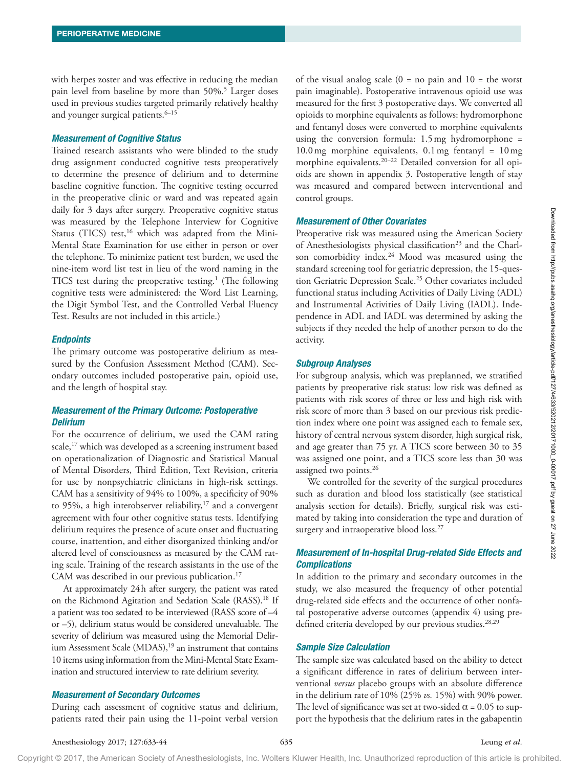with herpes zoster and was effective in reducing the median pain level from baseline by more than 50%.<sup>5</sup> Larger doses used in previous studies targeted primarily relatively healthy and younger surgical patients.<sup>6-15</sup>

# *Measurement of Cognitive Status*

Trained research assistants who were blinded to the study drug assignment conducted cognitive tests preoperatively to determine the presence of delirium and to determine baseline cognitive function. The cognitive testing occurred in the preoperative clinic or ward and was repeated again daily for 3 days after surgery. Preoperative cognitive status was measured by the Telephone Interview for Cognitive Status (TICS) test, $16$  which was adapted from the Mini-Mental State Examination for use either in person or over the telephone. To minimize patient test burden, we used the nine-item word list test in lieu of the word naming in the TICS test during the preoperative testing.<sup>1</sup> (The following cognitive tests were administered: the Word List Learning, the Digit Symbol Test, and the Controlled Verbal Fluency Test. Results are not included in this article.)

#### *Endpoints*

The primary outcome was postoperative delirium as measured by the Confusion Assessment Method (CAM). Secondary outcomes included postoperative pain, opioid use, and the length of hospital stay.

# *Measurement of the Primary Outcome: Postoperative Delirium*

For the occurrence of delirium, we used the CAM rating scale,<sup>17</sup> which was developed as a screening instrument based on operationalization of Diagnostic and Statistical Manual of Mental Disorders, Third Edition, Text Revision, criteria for use by nonpsychiatric clinicians in high-risk settings. CAM has a sensitivity of 94% to 100%, a specificity of 90% to 95%, a high interobserver reliability, $17$  and a convergent agreement with four other cognitive status tests. Identifying delirium requires the presence of acute onset and fluctuating course, inattention, and either disorganized thinking and/or altered level of consciousness as measured by the CAM rating scale. Training of the research assistants in the use of the CAM was described in our previous publication.<sup>17</sup>

At approximately 24h after surgery, the patient was rated on the Richmond Agitation and Sedation Scale (RASS).<sup>18</sup> If a patient was too sedated to be interviewed (RASS score of –4 or –5), delirium status would be considered unevaluable. The severity of delirium was measured using the Memorial Delirium Assessment Scale  $(MDAS),<sup>19</sup>$  an instrument that contains 10 items using information from the Mini-Mental State Examination and structured interview to rate delirium severity.

## *Measurement of Secondary Outcomes*

During each assessment of cognitive status and delirium, patients rated their pain using the 11-point verbal version of the visual analog scale  $(0 = no \, pain \,and \,10 = the \,worst$ pain imaginable). Postoperative intravenous opioid use was measured for the first 3 postoperative days. We converted all opioids to morphine equivalents as follows: hydromorphone and fentanyl doses were converted to morphine equivalents using the conversion formula:  $1.5 \text{ mg}$  hydromorphone =  $10.0 \,\text{mg}$  morphine equivalents,  $0.1 \,\text{mg}$  fentanyl =  $10 \,\text{mg}$ morphine equivalents.<sup>20-22</sup> Detailed conversion for all opioids are shown in appendix 3. Postoperative length of stay was measured and compared between interventional and control groups.

#### *Measurement of Other Covariates*

Preoperative risk was measured using the American Society of Anesthesiologists physical classification<sup>23</sup> and the Charlson comorbidity index.<sup>24</sup> Mood was measured using the standard screening tool for geriatric depression, the 15-question Geriatric Depression Scale.<sup>25</sup> Other covariates included functional status including Activities of Daily Living (ADL) and Instrumental Activities of Daily Living (IADL). Independence in ADL and IADL was determined by asking the subjects if they needed the help of another person to do the activity.

#### *Subgroup Analyses*

For subgroup analysis, which was preplanned, we stratified patients by preoperative risk status: low risk was defined as patients with risk scores of three or less and high risk with risk score of more than 3 based on our previous risk prediction index where one point was assigned each to female sex, history of central nervous system disorder, high surgical risk, and age greater than 75 yr. A TICS score between 30 to 35 was assigned one point, and a TICS score less than 30 was assigned two points.26

We controlled for the severity of the surgical procedures such as duration and blood loss statistically (see statistical analysis section for details). Briefly, surgical risk was estimated by taking into consideration the type and duration of surgery and intraoperative blood loss.<sup>27</sup>

# *Measurement of In-hospital Drug-related Side Effects and Complications*

In addition to the primary and secondary outcomes in the study, we also measured the frequency of other potential drug-related side effects and the occurrence of other nonfatal postoperative adverse outcomes (appendix 4) using predefined criteria developed by our previous studies.<sup>28,29</sup>

#### *Sample Size Calculation*

The sample size was calculated based on the ability to detect a significant difference in rates of delirium between interventional *versus* placebo groups with an absolute difference in the delirium rate of 10% (25% *vs.* 15%) with 90% power. The level of significance was set at two-sided  $\alpha$  = 0.05 to support the hypothesis that the delirium rates in the gabapentin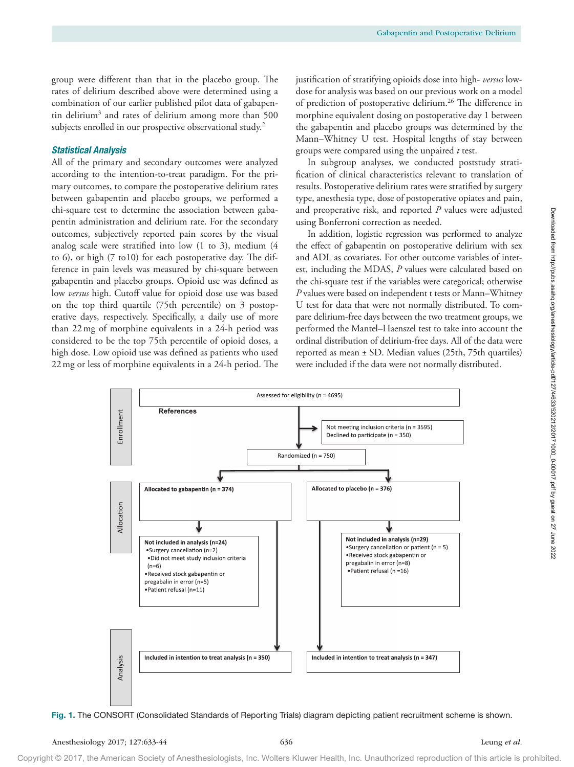group were different than that in the placebo group. The rates of delirium described above were determined using a combination of our earlier published pilot data of gabapentin delirium<sup>3</sup> and rates of delirium among more than 500 subjects enrolled in our prospective observational study.<sup>2</sup>

# *Statistical Analysis*

All of the primary and secondary outcomes were analyzed according to the intention-to-treat paradigm. For the primary outcomes, to compare the postoperative delirium rates between gabapentin and placebo groups, we performed a chi-square test to determine the association between gabapentin administration and delirium rate. For the secondary outcomes, subjectively reported pain scores by the visual analog scale were stratified into low (1 to 3), medium (4 to 6), or high (7 to10) for each postoperative day. The difference in pain levels was measured by chi-square between gabapentin and placebo groups. Opioid use was defined as low *versus* high. Cutoff value for opioid dose use was based on the top third quartile (75th percentile) on 3 postoperative days, respectively. Specifically, a daily use of more than 22mg of morphine equivalents in a 24-h period was considered to be the top 75th percentile of opioid doses, a high dose. Low opioid use was defined as patients who used 22mg or less of morphine equivalents in a 24-h period. The

justification of stratifying opioids dose into high- *versus* lowdose for analysis was based on our previous work on a model of prediction of postoperative delirium.<sup>26</sup> The difference in morphine equivalent dosing on postoperative day 1 between the gabapentin and placebo groups was determined by the Mann–Whitney U test. Hospital lengths of stay between groups were compared using the unpaired *t* test.

In subgroup analyses, we conducted poststudy stratification of clinical characteristics relevant to translation of results. Postoperative delirium rates were stratified by surgery type, anesthesia type, dose of postoperative opiates and pain, and preoperative risk, and reported *P* values were adjusted using Bonferroni correction as needed.

In addition, logistic regression was performed to analyze the effect of gabapentin on postoperative delirium with sex and ADL as covariates. For other outcome variables of interest, including the MDAS, *P* values were calculated based on the chi-square test if the variables were categorical; otherwise *P* values were based on independent t tests or Mann–Whitney U test for data that were not normally distributed. To compare delirium-free days between the two treatment groups, we performed the Mantel–Haenszel test to take into account the ordinal distribution of delirium-free days. All of the data were reported as mean ± SD. Median values (25th, 75th quartiles) were included if the data were not normally distributed.



Fig. 1. The CONSORT (Consolidated Standards of Reporting Trials) diagram depicting patient recruitment scheme is shown.

Downloaded from http://pubs.asahq.org/anesthesiology/article-pdf/127/4/633/520212/20171000\_0-00017.pdf by guest on 27 June 2022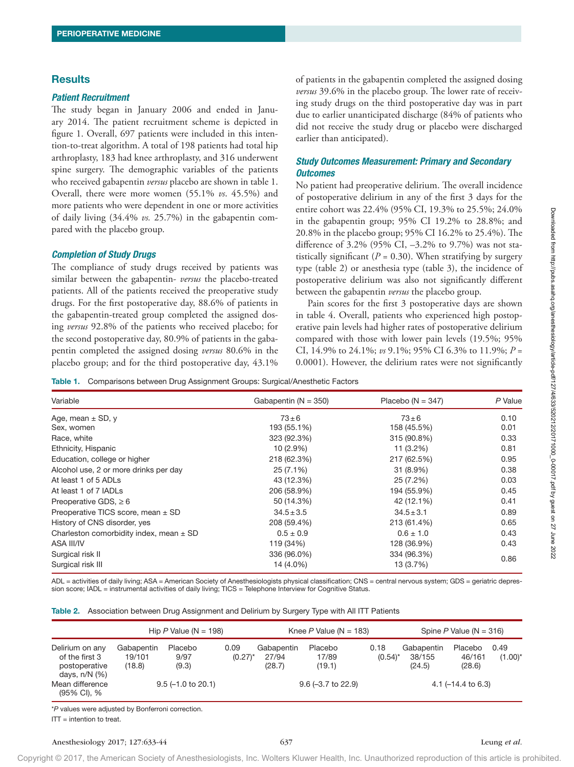# **Results**

#### *Patient Recruitment*

The study began in January 2006 and ended in January 2014. The patient recruitment scheme is depicted in figure 1. Overall, 697 patients were included in this intention-to-treat algorithm. A total of 198 patients had total hip arthroplasty, 183 had knee arthroplasty, and 316 underwent spine surgery. The demographic variables of the patients who received gabapentin *versus* placebo are shown in table 1. Overall, there were more women (55.1% *vs*. 45.5%) and more patients who were dependent in one or more activities of daily living (34.4% *vs.* 25.7%) in the gabapentin compared with the placebo group.

#### *Completion of Study Drugs*

The compliance of study drugs received by patients was similar between the gabapentin- *versus* the placebo-treated patients. All of the patients received the preoperative study drugs. For the first postoperative day, 88.6% of patients in the gabapentin-treated group completed the assigned dosing *versus* 92.8% of the patients who received placebo; for the second postoperative day, 80.9% of patients in the gabapentin completed the assigned dosing *versus* 80.6% in the placebo group; and for the third postoperative day, 43.1%

of patients in the gabapentin completed the assigned dosing *versus* 39.6% in the placebo group. The lower rate of receiving study drugs on the third postoperative day was in part due to earlier unanticipated discharge (84% of patients who did not receive the study drug or placebo were discharged earlier than anticipated).

# *Study Outcomes Measurement: Primary and Secondary Outcomes*

No patient had preoperative delirium. The overall incidence of postoperative delirium in any of the first 3 days for the entire cohort was 22.4% (95% CI, 19.3% to 25.5%; 24.0% in the gabapentin group; 95% CI 19.2% to 28.8%; and 20.8% in the placebo group; 95% CI 16.2% to 25.4%). The difference of 3.2% (95% CI, –3.2% to 9.7%) was not statistically significant ( $P = 0.30$ ). When stratifying by surgery type (table 2) or anesthesia type (table 3), the incidence of postoperative delirium was also not significantly different between the gabapentin *versus* the placebo group.

Pain scores for the first 3 postoperative days are shown in table 4. Overall, patients who experienced high postoperative pain levels had higher rates of postoperative delirium compared with those with lower pain levels (19.5%; 95% CI, 14.9% to 24.1%; *vs* 9.1%; 95% CI 6.3% to 11.9%; *P* = 0.0001). However, the delirium rates were not significantly

Table 1. Comparisons between Drug Assignment Groups: Surgical/Anesthetic Factors

| Variable                                    | Gabapentin $(N = 350)$ | Placebo ( $N = 347$ ) | P Value |
|---------------------------------------------|------------------------|-----------------------|---------|
| Age, mean $\pm$ SD, y                       | $73\pm 6$              | $73 \pm 6$            | 0.10    |
| Sex, women                                  | 193 (55.1%)            | 158 (45.5%)           | 0.01    |
| Race, white                                 | 323 (92.3%)            | 315 (90.8%)           | 0.33    |
| Ethnicity, Hispanic                         | $10(2.9\%)$            | $11(3.2\%)$           | 0.81    |
| Education, college or higher                | 218 (62.3%)            | 217 (62.5%)           | 0.95    |
| Alcohol use, 2 or more drinks per day       | 25 (7.1%)              | $31(8.9\%)$           | 0.38    |
| At least 1 of 5 ADLs                        | 43 (12.3%)             | 25 (7.2%)             | 0.03    |
| At least 1 of 7 IADLs                       | 206 (58.9%)            | 194 (55.9%)           | 0.45    |
| Preoperative GDS, $\geq 6$                  | 50 (14.3%)             | 42 (12.1%)            | 0.41    |
| Preoperative TICS score, mean $\pm$ SD      | $34.5 \pm 3.5$         | $34.5 \pm 3.1$        | 0.89    |
| History of CNS disorder, yes                | 208 (59.4%)            | 213 (61.4%)           | 0.65    |
| Charleston comorbidity index, mean $\pm$ SD | $0.5 \pm 0.9$          | $0.6 \pm 1.0$         | 0.43    |
| ASA III/IV                                  | 119 (34%)              | 128 (36.9%)           | 0.43    |
| Surgical risk II                            | 336 (96.0%)            | 334 (96.3%)           |         |
| Surgical risk III                           | 14 (4.0%)              | 13 (3.7%)             | 0.86    |

ADL = activities of daily living; ASA = American Society of Anesthesiologists physical classification; CNS = central nervous system; GDS = geriatric depression score; IADL = instrumental activities of daily living; TICS = Telephone Interview for Cognitive Status.

|  |  | Table 2. Association between Drug Assignment and Delirium by Surgery Type with All ITT Patients |  |  |  |  |  |  |
|--|--|-------------------------------------------------------------------------------------------------|--|--|--|--|--|--|
|--|--|-------------------------------------------------------------------------------------------------|--|--|--|--|--|--|

|                                                                          |                                | Hip $P$ Value (N = 198)      |                    |                               | Knee $P$ Value (N = 183)   |                      |                                | Spine P Value ( $N = 316$ )   |                    |
|--------------------------------------------------------------------------|--------------------------------|------------------------------|--------------------|-------------------------------|----------------------------|----------------------|--------------------------------|-------------------------------|--------------------|
| Delirium on any<br>of the first 3<br>postoperative<br>days, $n/N$ $(\%)$ | Gabapentin<br>19/101<br>(18.8) | Placebo<br>9/97<br>(9.3)     | 0.09<br>$(0.27)^*$ | Gabapentin<br>27/94<br>(28.7) | Placebo<br>17/89<br>(19.1) | 0.18<br>$(0.54)^{*}$ | Gabapentin<br>38/155<br>(24.5) | Placebo<br>46/161<br>(28.6)   | 0.49<br>$(1.00)^*$ |
| Mean difference<br>(95% CI), %                                           |                                | $9.5(-1.0 \text{ to } 20.1)$ |                    |                               | $9.6 (-3.7)$ to 22.9)      |                      |                                | 4.1 $(-14.4 \text{ to } 6.3)$ |                    |

\**P* values were adjusted by Bonferroni correction.

ITT = intention to treat.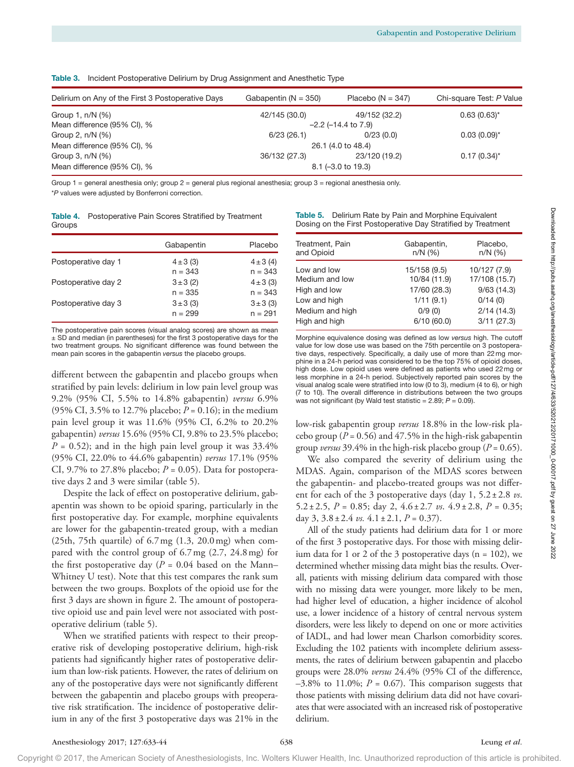Table 3. Incident Postoperative Delirium by Drug Assignment and Anesthetic Type

| Delirium on Any of the First 3 Postoperative Days | Gabapentin $(N = 350)$ | Placebo ( $N = 347$ )       | Chi-square Test: P Value |
|---------------------------------------------------|------------------------|-----------------------------|--------------------------|
| Group 1, n/N (%)                                  | 42/145 (30.0)          | 49/152 (32.2)               | $0.63(0.63)^{*}$         |
| Mean difference (95% CI), %                       |                        | $-2.2$ ( $-14.4$ to $7.9$ ) |                          |
| Group 2, $n/N$ $(\%)$                             | 6/23(26.1)             | 0/23(0.0)                   | $0.03(0.09)$ *           |
| Mean difference (95% CI), %                       |                        | 26.1 (4.0 to 48.4)          |                          |
| Group 3, $n/N$ $(\%)$                             | 36/132 (27.3)          | 23/120 (19.2)               | $0.17(0.34)$ *           |
| Mean difference (95% CI), %                       |                        | $8.1 (-3.0 to 19.3)$        |                          |

Group  $1$  = general anesthesia only; group  $2$  = general plus regional anesthesia; group  $3$  = regional anesthesia only. \**P* values were adjusted by Bonferroni correction.

|        | <b>Table 4.</b> Postoperative Pain Scores Stratified by Treatment |
|--------|-------------------------------------------------------------------|
| Groups |                                                                   |

|                     | Gabapentin                 | Placebo                    |
|---------------------|----------------------------|----------------------------|
| Postoperative day 1 | $4 \pm 3$ (3)<br>$n = 343$ | $4 \pm 3$ (4)<br>$n = 343$ |
| Postoperative day 2 | $3 \pm 3$ (2)<br>$n = 335$ | $4 \pm 3$ (3)<br>$n = 343$ |
| Postoperative day 3 | $3 \pm 3$ (3)<br>$n = 299$ | $3 \pm 3$ (3)<br>$n = 291$ |

The postoperative pain scores (visual analog scores) are shown as mean ± SD and median (in parentheses) for the first 3 postoperative days for the two treatment groups. No significant difference was found between the mean pain scores in the gabapentin *versus* the placebo groups.

different between the gabapentin and placebo groups when stratified by pain levels: delirium in low pain level group was 9.2% (95% CI, 5.5% to 14.8% gabapentin) *versus* 6.9% (95% CI, 3.5% to 12.7% placebo; *P* = 0.16); in the medium pain level group it was 11.6% (95% CI, 6.2% to 20.2% gabapentin) *versus* 15.6% (95% CI, 9.8% to 23.5% placebo;  $P = 0.52$ ); and in the high pain level group it was  $33.4\%$ (95% CI, 22.0% to 44.6% gabapentin) *versus* 17.1% (95% CI, 9.7% to 27.8% placebo;  $P = 0.05$ ). Data for postoperative days 2 and 3 were similar (table 5).

Despite the lack of effect on postoperative delirium, gabapentin was shown to be opioid sparing, particularly in the first postoperative day. For example, morphine equivalents are lower for the gabapentin-treated group, with a median (25th, 75th quartile) of 6.7mg (1.3, 20.0mg) when compared with the control group of 6.7mg (2.7, 24.8mg) for the first postoperative day ( $P = 0.04$  based on the Mann– Whitney U test). Note that this test compares the rank sum between the two groups. Boxplots of the opioid use for the first 3 days are shown in figure 2. The amount of postoperative opioid use and pain level were not associated with postoperative delirium (table 5).

When we stratified patients with respect to their preoperative risk of developing postoperative delirium, high-risk patients had significantly higher rates of postoperative delirium than low-risk patients. However, the rates of delirium on any of the postoperative days were not significantly different between the gabapentin and placebo groups with preoperative risk stratification. The incidence of postoperative delirium in any of the first 3 postoperative days was 21% in the

| Table 5. Delirium Rate by Pain and Morphine Equivalent        |
|---------------------------------------------------------------|
| Dosing on the First Postoperative Day Stratified by Treatment |

| Treatment, Pain | Gabapentin,  | Placebo,      |
|-----------------|--------------|---------------|
| and Opioid      | $n/N$ (%)    | $n/N$ (%)     |
| Low and low     | 15/158 (9.5) | 10/127 (7.9)  |
| Medium and low  | 10/84 (11.9) | 17/108 (15.7) |
| High and low    | 17/60 (28.3) | 9/63(14.3)    |
| Low and high    | 1/11(9.1)    | 0/14(0)       |
| Medium and high | 0/9(0)       | 2/14(14.3)    |
| High and high   | 6/10(60.0)   | 3/11(27.3)    |

Morphine equivalence dosing was defined as low *versus* high. The cutoff value for low dose use was based on the 75th percentile on 3 postoperative days, respectively. Specifically, a daily use of more than 22mg morphine in a 24-h period was considered to be the top 75% of opioid doses, high dose. Low opioid uses were defined as patients who used 22mg or less morphine in a 24-h period. Subjectively reported pain scores by the visual analog scale were stratified into low (0 to 3), medium (4 to 6), or high (7 to 10). The overall difference in distributions between the two groups was not significant (by Wald test statistic = 2.89;  $P = 0.09$ ).

low-risk gabapentin group *versus* 18.8% in the low-risk placebo group ( $P = 0.56$ ) and 47.5% in the high-risk gabapentin group *versus* 39.4% in the high-risk placebo group (*P* = 0.65).

We also compared the severity of delirium using the MDAS. Again, comparison of the MDAS scores between the gabapentin- and placebo-treated groups was not different for each of the 3 postoperative days (day 1, 5.2±2.8 *vs*. 5.2±2.5, *P* = 0.85; day 2, 4.6±2.7 *vs*. 4.9 ±2.8, *P* = 0.35; day 3, 3.8±2.4 *vs.* 4.1±2.1, *P* = 0.37).

All of the study patients had delirium data for 1 or more of the first 3 postoperative days. For those with missing delirium data for 1 or 2 of the 3 postoperative days ( $n = 102$ ), we determined whether missing data might bias the results. Overall, patients with missing delirium data compared with those with no missing data were younger, more likely to be men, had higher level of education, a higher incidence of alcohol use, a lower incidence of a history of central nervous system disorders, were less likely to depend on one or more activities of IADL, and had lower mean Charlson comorbidity scores. Excluding the 102 patients with incomplete delirium assessments, the rates of delirium between gabapentin and placebo groups were 28.0% *versus* 24.4% (95% CI of the difference,  $-3.8\%$  to 11.0%;  $P = 0.67$ ). This comparison suggests that those patients with missing delirium data did not have covariates that were associated with an increased risk of postoperative delirium.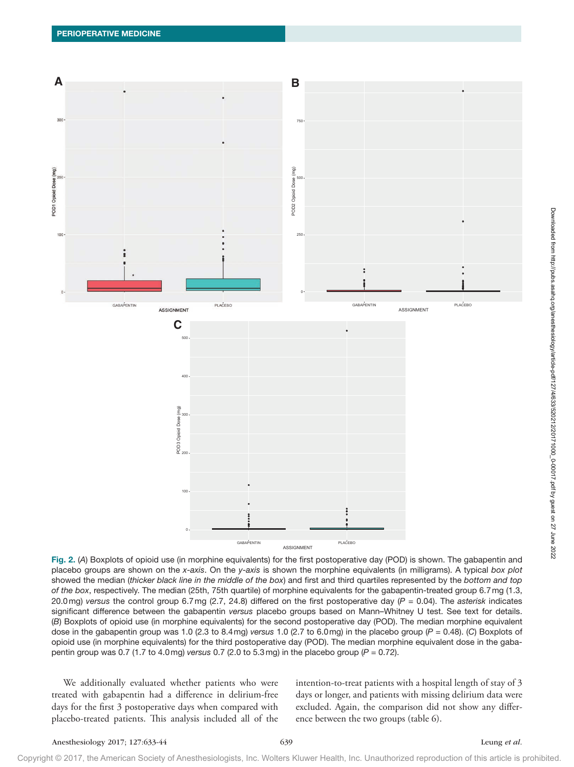

Fig. 2. (*A*) Boxplots of opioid use (in morphine equivalents) for the first postoperative day (POD) is shown. The gabapentin and placebo groups are shown on the *x-axis*. On the *y-axis* is shown the morphine equivalents (in milligrams). A typical *box plot* showed the median (*thicker black line in the middle of the box*) and first and third quartiles represented by the *bottom and top of the box*, respectively. The median (25th, 75th quartile) of morphine equivalents for the gabapentin-treated group 6.7mg (1.3, 20.0mg) *versus* the control group 6.7mg (2.7, 24.8) differed on the first postoperative day (*P* = 0.04). The *asterisk* indicates significant difference between the gabapentin *versus* placebo groups based on Mann–Whitney U test. See text for details. (*B*) Boxplots of opioid use (in morphine equivalents) for the second postoperative day (POD). The median morphine equivalent dose in the gabapentin group was 1.0 (2.3 to 8.4mg) *versus* 1.0 (2.7 to 6.0mg) in the placebo group (*P* = 0.48). (*C*) Boxplots of opioid use (in morphine equivalents) for the third postoperative day (POD). The median morphine equivalent dose in the gabapentin group was 0.7 (1.7 to 4.0mg) *versus* 0.7 (2.0 to 5.3mg) in the placebo group (*P* = 0.72).

We additionally evaluated whether patients who were treated with gabapentin had a difference in delirium-free days for the first 3 postoperative days when compared with placebo-treated patients. This analysis included all of the

intention-to-treat patients with a hospital length of stay of 3 days or longer, and patients with missing delirium data were excluded. Again, the comparison did not show any difference between the two groups (table 6).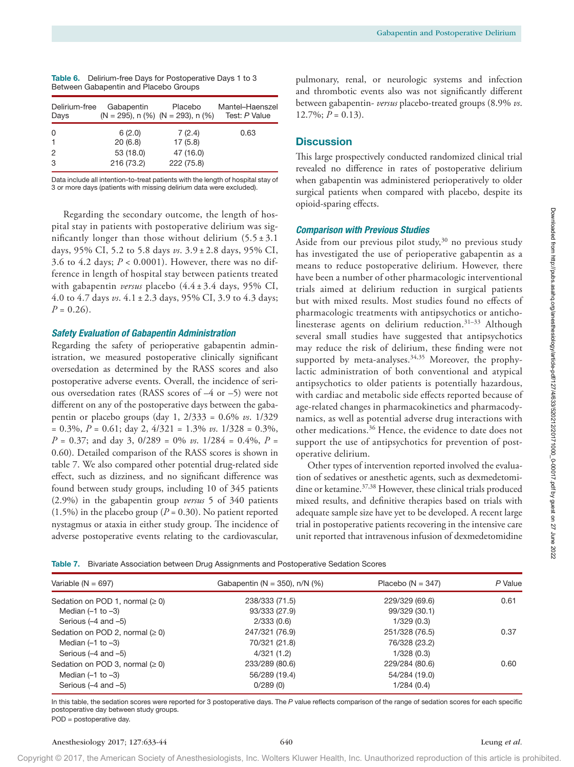| <b>TUBIC OF BUILDING BUYS ION COLORENTS BUYS INST</b> | $\mu$ ullion      |                                               |                 |                   |
|-------------------------------------------------------|-------------------|-----------------------------------------------|-----------------|-------------------|
| Between Gabapentin and Placebo Groups                 | and thre          |                                               |                 |                   |
| Delirium-free                                         | Gabapentin        | Placebo                                       | Mantel-Haenszel | between           |
| Days                                                  |                   | $(N = 295)$ , n $(\%)$ $(N = 293)$ , n $(\%)$ | Test: P Value   | $12.7\%$ ;        |
| 0<br>$\mathbf{1}$                                     | 6(2.0)<br>20(6.8) | 7(2.4)<br>17(5.8)                             | 0.63            | <b>Discus</b>     |
| 2                                                     | 53 (18.0)         | 47 (16.0)                                     |                 | $\tau$ hic $\tau$ |

| Table 6. Delirium-free Days for Postoperative Days 1 to 3 |
|-----------------------------------------------------------|
| Between Gabapentin and Placebo Groups                     |

Data include all intention-to-treat patients with the length of hospital stay of 3 or more days (patients with missing delirium data were excluded).

3 216 (73.2) 222 (75.8)

Regarding the secondary outcome, the length of hospital stay in patients with postoperative delirium was significantly longer than those without delirium  $(5.5 \pm 3.1)$ days, 95% CI, 5.2 to 5.8 days *vs*. 3.9 ± 2.8 days, 95% CI, 3.6 to 4.2 days;  $P < 0.0001$ ). However, there was no difference in length of hospital stay between patients treated with gabapentin *versus* placebo (4.4 ± 3.4 days, 95% CI, 4.0 to 4.7 days *vs*. 4.1 ± 2.3 days, 95% CI, 3.9 to 4.3 days;  $P = 0.26$ .

#### *Safety Evaluation of Gabapentin Administration*

Regarding the safety of perioperative gabapentin administration, we measured postoperative clinically significant oversedation as determined by the RASS scores and also postoperative adverse events. Overall, the incidence of serious oversedation rates (RASS scores of –4 or –5) were not different on any of the postoperative days between the gabapentin or placebo groups (day 1, 2/333 = 0.6% *vs*. 1/329 = 0.3%, *P* = 0.61; day 2, 4/321 = 1.3% *vs*. 1/328 = 0.3%, *P* = 0.37; and day 3, 0/289 = 0% *vs*. 1/284 = 0.4%, *P* = 0.60). Detailed comparison of the RASS scores is shown in table 7. We also compared other potential drug-related side effect, such as dizziness, and no significant difference was found between study groups, including 10 of 345 patients (2.9%) in the gabapentin group *versus* 5 of 340 patients  $(1.5\%)$  in the placebo group ( $P = 0.30$ ). No patient reported nystagmus or ataxia in either study group. The incidence of adverse postoperative events relating to the cardiovascular,

pulmonary, renal, or neurologic systems and infection ombotic events also was not significantly different gabapentin- *versus* placebo-treated groups (8.9% vs.  $P = 0.13$ .

# ssion

This large prospectively conducted randomized clinical trial revealed no difference in rates of postoperative delirium when gabapentin was administered perioperatively to older surgical patients when compared with placebo, despite its opioid-sparing effects.

## *Comparison with Previous Studies*

Aside from our previous pilot study,<sup>30</sup> no previous study has investigated the use of perioperative gabapentin as a means to reduce postoperative delirium. However, there have been a number of other pharmacologic interventional trials aimed at delirium reduction in surgical patients but with mixed results. Most studies found no effects of pharmacologic treatments with antipsychotics or anticholinesterase agents on delirium reduction.31–33 Although several small studies have suggested that antipsychotics may reduce the risk of delirium, these finding were not supported by meta-analyses.<sup>34,35</sup> Moreover, the prophylactic administration of both conventional and atypical antipsychotics to older patients is potentially hazardous, with cardiac and metabolic side effects reported because of age-related changes in pharmacokinetics and pharmacodynamics, as well as potential adverse drug interactions with other medications.36 Hence, the evidence to date does not support the use of antipsychotics for prevention of postoperative delirium.

Other types of intervention reported involved the evaluation of sedatives or anesthetic agents, such as dexmedetomidine or ketamine.<sup>37,38</sup> However, these clinical trials produced mixed results, and definitive therapies based on trials with adequate sample size have yet to be developed. A recent large trial in postoperative patients recovering in the intensive care unit reported that intravenous infusion of dexmedetomidine

| Table 7. Bivariate Association between Drug Assignments and Postoperative Sedation Scores |  |  |
|-------------------------------------------------------------------------------------------|--|--|
|                                                                                           |  |  |

| Variable ( $N = 697$ )            | Gabapentin ( $N = 350$ ), n/N (%) | Placebo ( $N = 347$ ) | P Value |
|-----------------------------------|-----------------------------------|-----------------------|---------|
| Sedation on POD 1, normal $(≥ 0)$ | 238/333 (71.5)                    | 229/329 (69.6)        | 0.61    |
| Median $(-1)$ to $-3$ )           | 93/333 (27.9)                     | 99/329 (30.1)         |         |
| Serious $(-4$ and $-5)$           | 2/333(0.6)                        | 1/329(0.3)            |         |
| Sedation on POD 2, normal $(≥ 0)$ | 247/321 (76.9)                    | 251/328 (76.5)        | 0.37    |
| Median $(-1)$ to $-3$ )           | 70/321 (21.8)                     | 76/328 (23.2)         |         |
| Serious $(-4$ and $-5)$           | 4/321(1.2)                        | 1/328(0.3)            |         |
| Sedation on POD 3, normal $(≥ 0)$ | 233/289 (80.6)                    | 229/284 (80.6)        | 0.60    |
| Median $(-1)$ to $-3$ )           | 56/289 (19.4)                     | 54/284 (19.0)         |         |
| Serious $(-4$ and $-5)$           | 0/289(0)                          | 1/284(0.4)            |         |

In this table, the sedation scores were reported for 3 postoperative days. The *P* value reflects comparison of the range of sedation scores for each specific postoperative day between study groups.

POD = postoperative day.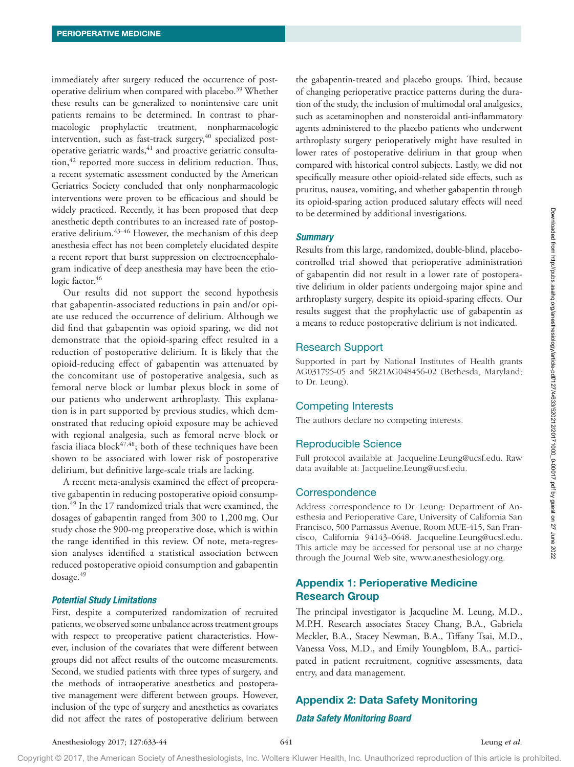immediately after surgery reduced the occurrence of postoperative delirium when compared with placebo.<sup>39</sup> Whether these results can be generalized to nonintensive care unit patients remains to be determined. In contrast to pharmacologic prophylactic treatment, nonpharmacologic intervention, such as fast-track surgery, $40$  specialized postoperative geriatric wards, $41$  and proactive geriatric consultation,<sup>42</sup> reported more success in delirium reduction. Thus, a recent systematic assessment conducted by the American Geriatrics Society concluded that only nonpharmacologic interventions were proven to be efficacious and should be widely practiced. Recently, it has been proposed that deep anesthetic depth contributes to an increased rate of postoperative delirium.<sup>43-46</sup> However, the mechanism of this deep anesthesia effect has not been completely elucidated despite a recent report that burst suppression on electroencephalogram indicative of deep anesthesia may have been the etiologic factor.<sup>46</sup>

Our results did not support the second hypothesis that gabapentin-associated reductions in pain and/or opiate use reduced the occurrence of delirium. Although we did find that gabapentin was opioid sparing, we did not demonstrate that the opioid-sparing effect resulted in a reduction of postoperative delirium. It is likely that the opioid-reducing effect of gabapentin was attenuated by the concomitant use of postoperative analgesia, such as femoral nerve block or lumbar plexus block in some of our patients who underwent arthroplasty. This explanation is in part supported by previous studies, which demonstrated that reducing opioid exposure may be achieved with regional analgesia, such as femoral nerve block or fascia iliaca block $47,48$ ; both of these techniques have been shown to be associated with lower risk of postoperative delirium, but definitive large-scale trials are lacking.

A recent meta-analysis examined the effect of preoperative gabapentin in reducing postoperative opioid consumption.49 In the 17 randomized trials that were examined, the dosages of gabapentin ranged from 300 to 1,200mg. Our study chose the 900-mg preoperative dose, which is within the range identified in this review. Of note, meta-regression analyses identified a statistical association between reduced postoperative opioid consumption and gabapentin dosage.49

#### *Potential Study Limitations*

First, despite a computerized randomization of recruited patients, we observed some unbalance across treatment groups with respect to preoperative patient characteristics. However, inclusion of the covariates that were different between groups did not affect results of the outcome measurements. Second, we studied patients with three types of surgery, and the methods of intraoperative anesthetics and postoperative management were different between groups. However, inclusion of the type of surgery and anesthetics as covariates did not affect the rates of postoperative delirium between

the gabapentin-treated and placebo groups. Third, because of changing perioperative practice patterns during the duration of the study, the inclusion of multimodal oral analgesics, such as acetaminophen and nonsteroidal anti-inflammatory agents administered to the placebo patients who underwent arthroplasty surgery perioperatively might have resulted in lower rates of postoperative delirium in that group when compared with historical control subjects. Lastly, we did not specifically measure other opioid-related side effects, such as pruritus, nausea, vomiting, and whether gabapentin through its opioid-sparing action produced salutary effects will need to be determined by additional investigations.

#### *Summary*

Results from this large, randomized, double-blind, placebocontrolled trial showed that perioperative administration of gabapentin did not result in a lower rate of postoperative delirium in older patients undergoing major spine and arthroplasty surgery, despite its opioid-sparing effects. Our results suggest that the prophylactic use of gabapentin as a means to reduce postoperative delirium is not indicated.

## Research Support

Supported in part by National Institutes of Health grants AG031795-05 and 5R21AG048456-02 (Bethesda, Maryland; to Dr. Leung).

## Competing Interests

The authors declare no competing interests.

## Reproducible Science

Full protocol available at: [Jacqueline.Leung@ucsf.edu](mailto:Jacqueline.Leung@ucsf.edu). Raw data available at: [Jacqueline.Leung@ucsf.edu](mailto:Jacqueline.Leung@ucsf.edu).

#### **Correspondence**

Address correspondence to Dr. Leung: Department of Anesthesia and Perioperative Care, University of California San Francisco, 500 Parnassus Avenue, Room MUE-415, San Francisco, California 94143–0648. [Jacqueline.Leung@ucsf.edu.](mailto:Jacqueline.Leung@ucsf.edu) This article may be accessed for personal use at no charge through the Journal Web site, [www.anesthesiology.org.](www.anesthesiology.org)

# Appendix 1: Perioperative Medicine Research Group

The principal investigator is Jacqueline M. Leung, M.D., M.P.H. Research associates Stacey Chang, B.A., Gabriela Meckler, B.A., Stacey Newman, B.A., Tiffany Tsai, M.D., Vanessa Voss, M.D., and Emily Youngblom, B.A., participated in patient recruitment, cognitive assessments, data entry, and data management.

## Appendix 2: Data Safety Monitoring

#### *Data Safety Monitoring Board*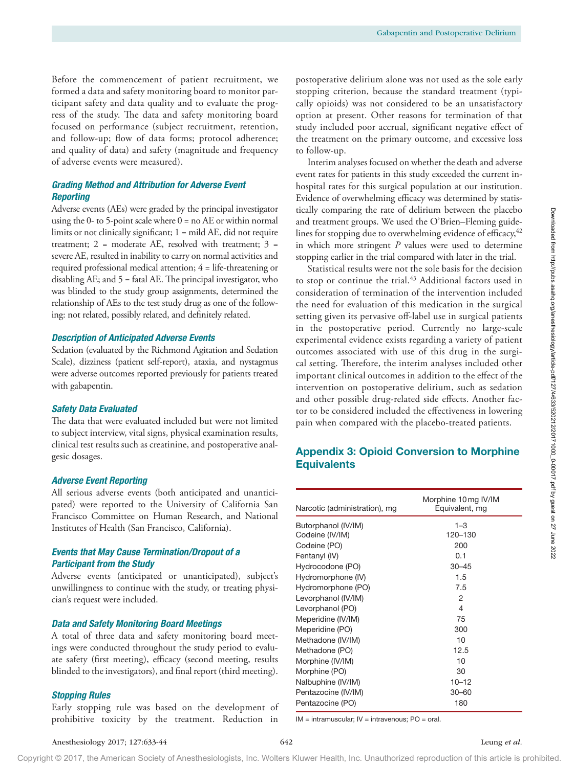Before the commencement of patient recruitment, we formed a data and safety monitoring board to monitor participant safety and data quality and to evaluate the progress of the study. The data and safety monitoring board focused on performance (subject recruitment, retention, and follow-up; flow of data forms; protocol adherence; and quality of data) and safety (magnitude and frequency of adverse events were measured).

# *Grading Method and Attribution for Adverse Event Reporting*

Adverse events (AEs) were graded by the principal investigator using the 0- to 5-point scale where  $0 =$  no AE or within normal limits or not clinically significant; 1 = mild AE, did not require treatment;  $2 =$  moderate AE, resolved with treatment;  $3 =$ severe AE, resulted in inability to carry on normal activities and required professional medical attention; 4 = life-threatening or disabling AE; and 5 = fatal AE. The principal investigator, who was blinded to the study group assignments, determined the relationship of AEs to the test study drug as one of the following: not related, possibly related, and definitely related.

#### *Description of Anticipated Adverse Events*

Sedation (evaluated by the Richmond Agitation and Sedation Scale), dizziness (patient self-report), ataxia, and nystagmus were adverse outcomes reported previously for patients treated with gabapentin.

#### *Safety Data Evaluated*

The data that were evaluated included but were not limited to subject interview, vital signs, physical examination results, clinical test results such as creatinine, and postoperative analgesic dosages.

#### *Adverse Event Reporting*

All serious adverse events (both anticipated and unanticipated) were reported to the University of California San Francisco Committee on Human Research, and National Institutes of Health (San Francisco, California).

# *Events that May Cause Termination/Dropout of a Participant from the Study*

Adverse events (anticipated or unanticipated), subject's unwillingness to continue with the study, or treating physician's request were included.

#### *Data and Safety Monitoring Board Meetings*

A total of three data and safety monitoring board meetings were conducted throughout the study period to evaluate safety (first meeting), efficacy (second meeting, results blinded to the investigators), and final report (third meeting).

#### *Stopping Rules*

Early stopping rule was based on the development of prohibitive toxicity by the treatment. Reduction in postoperative delirium alone was not used as the sole early stopping criterion, because the standard treatment (typically opioids) was not considered to be an unsatisfactory option at present. Other reasons for termination of that study included poor accrual, significant negative effect of the treatment on the primary outcome, and excessive loss to follow-up.

Interim analyses focused on whether the death and adverse event rates for patients in this study exceeded the current inhospital rates for this surgical population at our institution. Evidence of overwhelming efficacy was determined by statistically comparing the rate of delirium between the placebo and treatment groups. We used the O'Brien–Fleming guidelines for stopping due to overwhelming evidence of efficacy, <sup>42</sup> in which more stringent *P* values were used to determine stopping earlier in the trial compared with later in the trial.

Statistical results were not the sole basis for the decision to stop or continue the trial.<sup>43</sup> Additional factors used in consideration of termination of the intervention included the need for evaluation of this medication in the surgical setting given its pervasive off-label use in surgical patients in the postoperative period. Currently no large-scale experimental evidence exists regarding a variety of patient outcomes associated with use of this drug in the surgical setting. Therefore, the interim analyses included other important clinical outcomes in addition to the effect of the intervention on postoperative delirium, such as sedation and other possible drug-related side effects. Another factor to be considered included the effectiveness in lowering pain when compared with the placebo-treated patients.

# Appendix 3: Opioid Conversion to Morphine **Equivalents**

| Narcotic (administration), mg | Morphine 10 mg IV/IM<br>Equivalent, mq |
|-------------------------------|----------------------------------------|
| Butorphanol (IV/IM)           | $1 - 3$                                |
| Codeine (IV/IM)               | 120-130                                |
| Codeine (PO)                  | 200                                    |
| Fentanyl (IV)                 | 0.1                                    |
| Hydrocodone (PO)              | $30 - 45$                              |
| Hydromorphone (IV)            | 1.5                                    |
| Hydromorphone (PO)            | 7.5                                    |
| Levorphanol (IV/IM)           | 2                                      |
| Levorphanol (PO)              | 4                                      |
| Meperidine (IV/IM)            | 75                                     |
| Meperidine (PO)               | 300                                    |
| Methadone (IV/IM)             | 10                                     |
| Methadone (PO)                | 12.5                                   |
| Morphine (IV/IM)              | 10                                     |
| Morphine (PO)                 | 30                                     |
| Nalbuphine (IV/IM)            | $10 - 12$                              |
| Pentazocine (IV/IM)           | $30 - 60$                              |
| Pentazocine (PO)              | 180                                    |

IM = intramuscular; IV = intravenous; PO = oral.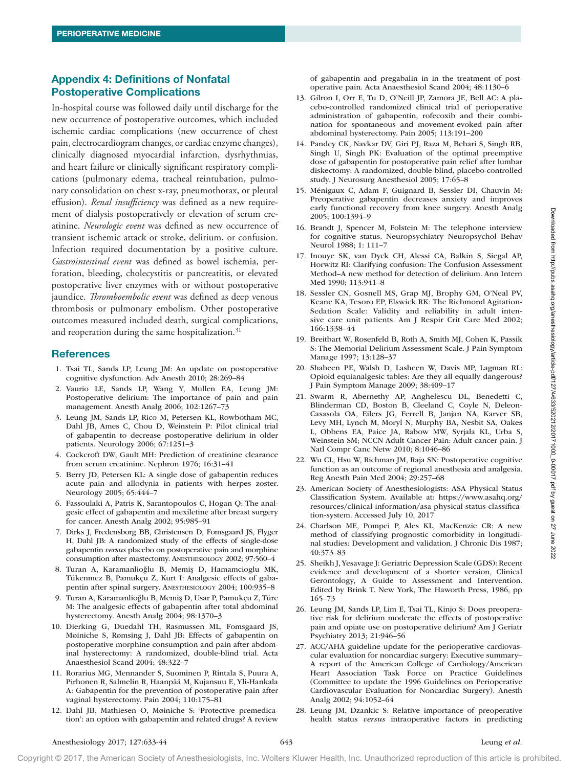# Appendix 4: Definitions of Nonfatal Postoperative Complications

In-hospital course was followed daily until discharge for the new occurrence of postoperative outcomes, which included ischemic cardiac complications (new occurrence of chest pain, electrocardiogram changes, or cardiac enzyme changes), clinically diagnosed myocardial infarction, dysrhythmias, and heart failure or clinically significant respiratory complications (pulmonary edema, tracheal reintubation, pulmonary consolidation on chest x-ray, pneumothorax, or pleural effusion). *Renal insufficiency* was defined as a new requirement of dialysis postoperatively or elevation of serum creatinine. *Neurologic event* was defined as new occurrence of transient ischemic attack or stroke, delirium, or confusion. Infection required documentation by a positive culture. *Gastrointestinal event* was defined as bowel ischemia, perforation, bleeding, cholecystitis or pancreatitis, or elevated postoperative liver enzymes with or without postoperative jaundice. *Thromboembolic event* was defined as deep venous thrombosis or pulmonary embolism. Other postoperative outcomes measured included death, surgical complications, and reoperation during the same hospitalization. $31$ 

# **References**

- 1. Tsai TL, Sands LP, Leung JM: An update on postoperative cognitive dysfunction. Adv Anesth 2010; 28:269–84
- 2. Vaurio LE, Sands LP, Wang Y, Mullen EA, Leung JM: Postoperative delirium: The importance of pain and pain management. Anesth Analg 2006; 102:1267–73
- 3. Leung JM, Sands LP, Rico M, Petersen KL, Rowbotham MC, Dahl JB, Ames C, Chou D, Weinstein P: Pilot clinical trial of gabapentin to decrease postoperative delirium in older patients. Neurology 2006; 67:1251–3
- 4. Cockcroft DW, Gault MH: Prediction of creatinine clearance from serum creatinine. Nephron 1976; 16:31–41
- 5. Berry JD, Petersen KL: A single dose of gabapentin reduces acute pain and allodynia in patients with herpes zoster. Neurology 2005; 65:444–7
- 6. Fassoulaki A, Patris K, Sarantopoulos C, Hogan Q: The analgesic effect of gabapentin and mexiletine after breast surgery for cancer. Anesth Analg 2002; 95:985–91
- 7. Dirks J, Fredensborg BB, Christensen D, Fomsgaard JS, Flyger H, Dahl JB: A randomized study of the effects of single-dose gabapentin *versus* placebo on postoperative pain and morphine consumption after mastectomy. ANESTHESIOLOGY 2002; 97:560–4
- 8. Turan A, Karamanlioğlu B, Memiş D, Hamamcioglu MK, Tükenmez B, Pamukçu Z, Kurt I: Analgesic effects of gabapentin after spinal surgery. ANESTHESIOLOGY 2004; 100:935–8
- 9. Turan A, Karamanlioğlu B, Memiş D, Usar P, Pamukçu Z, Türe M: The analgesic effects of gabapentin after total abdominal hysterectomy. Anesth Analg 2004; 98:1370–3
- 10. Dierking G, Duedahl TH, Rasmussen ML, Fomsgaard JS, Møiniche S, Rømsing J, Dahl JB: Effects of gabapentin on postoperative morphine consumption and pain after abdominal hysterectomy: A randomized, double-blind trial. Acta Anaesthesiol Scand 2004; 48:322–7
- 11. Rorarius MG, Mennander S, Suominen P, Rintala S, Puura A, Pirhonen R, Salmelin R, Haanpää M, Kujansuu E, Yli-Hankala A: Gabapentin for the prevention of postoperative pain after vaginal hysterectomy. Pain 2004; 110:175–81
- 12. Dahl JB, Mathiesen O, Møiniche S: 'Protective premedication': an option with gabapentin and related drugs? A review

of gabapentin and pregabalin in in the treatment of postoperative pain. Acta Anaesthesiol Scand 2004; 48:1130–6

- 13. Gilron I, Orr E, Tu D, O'Neill JP, Zamora JE, Bell AC: A placebo-controlled randomized clinical trial of perioperative administration of gabapentin, rofecoxib and their combination for spontaneous and movement-evoked pain after abdominal hysterectomy. Pain 2005; 113:191–200
- 14. Pandey CK, Navkar DV, Giri PJ, Raza M, Behari S, Singh RB, Singh U, Singh PK: Evaluation of the optimal preemptive dose of gabapentin for postoperative pain relief after lumbar diskectomy: A randomized, double-blind, placebo-controlled study. J Neurosurg Anesthesiol 2005; 17:65–8
- 15. Ménigaux C, Adam F, Guignard B, Sessler DI, Chauvin M: Preoperative gabapentin decreases anxiety and improves early functional recovery from knee surgery. Anesth Analg 2005; 100:1394–9
- 16. Brandt J, Spencer M, Folstein M: The telephone interview for cognitive status. Neuropsychiatry Neuropsychol Behav Neurol 1988; 1: 111–7
- 17. Inouye SK, van Dyck CH, Alessi CA, Balkin S, Siegal AP, Horwitz RI: Clarifying confusion: The Confusion Assessment Method–A new method for detection of delirium. Ann Intern Med 1990; 113:941–8
- 18. Sessler CN, Gosnell MS, Grap MJ, Brophy GM, O'Neal PV, Keane KA, Tesoro EP, Elswick RK: The Richmond Agitation-Sedation Scale: Validity and reliability in adult intensive care unit patients. Am J Respir Crit Care Med 2002; 166:1338–44
- 19. Breitbart W, Rosenfeld B, Roth A, Smith MJ, Cohen K, Passik S: The Memorial Delirium Assessment Scale. J Pain Symptom Manage 1997; 13:128–37
- 20. Shaheen PE, Walsh D, Lasheen W, Davis MP, Lagman RL: Opioid equianalgesic tables: Are they all equally dangerous? J Pain Symptom Manage 2009; 38:409–17
- 21. Swarm R, Abernethy AP, Anghelescu DL, Benedetti C, Blinderman CD, Boston B, Cleeland C, Coyle N, Deleon-Casasola OA, Eilers JG, Ferrell B, Janjan NA, Karver SB, Levy MH, Lynch M, Moryl N, Murphy BA, Nesbit SA, Oakes L, Obbens EA, Paice JA, Rabow MW, Syrjala KL, Urba S, Weinstein SM; NCCN Adult Cancer Pain: Adult cancer pain. J Natl Compr Canc Netw 2010; 8:1046–86
- 22. Wu CL, Hsu W, Richman JM, Raja SN: Postoperative cognitive function as an outcome of regional anesthesia and analgesia. Reg Anesth Pain Med 2004; 29:257–68
- 23. American Society of Anesthesiologists: ASA Physical Status Classification System. Available at: [https://www.asahq.org/](https://www.asahq.org/resources/clinical-information/asa-physical-status-classification-system) [resources/clinical-information/asa-physical-status-classifica](https://www.asahq.org/resources/clinical-information/asa-physical-status-classification-system)[tion-system.](https://www.asahq.org/resources/clinical-information/asa-physical-status-classification-system) Accessed July 10, 2017
- 24. Charlson ME, Pompei P, Ales KL, MacKenzie CR: A new method of classifying prognostic comorbidity in longitudinal studies: Development and validation. J Chronic Dis 1987; 40:373–83
- 25. Sheikh J, Yesavage J: Geriatric Depression Scale (GDS): Recent evidence and development of a shorter version, Clinical Gerontology, A Guide to Assessment and Intervention. Edited by Brink T. New York, The Haworth Press, 1986, pp 165–73
- 26. Leung JM, Sands LP, Lim E, Tsai TL, Kinjo S: Does preoperative risk for delirium moderate the effects of postoperative pain and opiate use on postoperative delirium? Am J Geriatr Psychiatry 2013; 21:946–56
- 27. ACC/AHA guideline update for the perioperative cardiovascular evaluation for noncardiac surgery: Executive summary– A report of the American College of Cardiology/American Heart Association Task Force on Practice Guidelines (Committee to update the 1996 Guidelines on Perioperative Cardiovascular Evaluation for Noncardiac Surgery). Anesth Analg 2002; 94:1052–64
- 28. Leung JM, Dzankic S: Relative importance of preoperative health status *versus* intraoperative factors in predicting